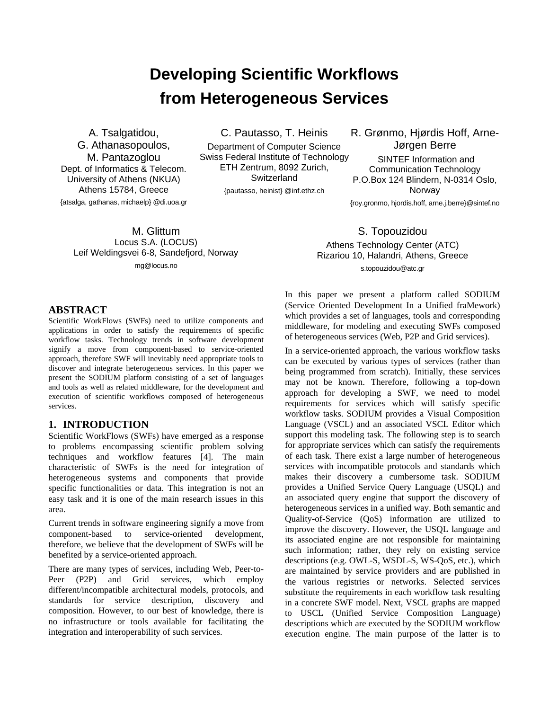# **Developing Scientific Workflows from Heterogeneous Services**

A. Tsalgatidou, G. Athanasopoulos, M. Pantazoglou Dept. of Informatics & Telecom. University of Athens (NKUA) Athens 15784, Greece {atsalga, gathanas, michaelp} @di.uoa.gr C. Pautasso, T. Heinis

Department of Computer Science Swiss Federal Institute of Technology ETH Zentrum, 8092 Zurich, **Switzerland** 

{pautasso, heinist} @inf.ethz.ch

R. Grønmo, Hjørdis Hoff, Arne-Jørgen Berre SINTEF Information and Communication Technology P.O.Box 124 Blindern, N-0314 Oslo, Norway {roy.gronmo, hjordis.hoff, arne.j.berre}@sintef.no

M. Glittum Locus S.A. (LOCUS) Leif Weldingsvei 6-8, Sandefjord, Norway mg@locus.no

## S. Topouzidou

Athens Technology Center (ATC) Rizariou 10, Halandri, Athens, Greece s.topouzidou@atc.gr

#### **ABSTRACT**

Scientific WorkFlows (SWFs) need to utilize components and applications in order to satisfy the requirements of specific workflow tasks. Technology trends in software development signify a move from component-based to service-oriented approach, therefore SWF will inevitably need appropriate tools to discover and integrate heterogeneous services. In this paper we present the SODIUM platform consisting of a set of languages and tools as well as related middleware, for the development and execution of scientific workflows composed of heterogeneous services.

#### **1. INTRODUCTION**

Scientific WorkFlows (SWFs) have emerged as a response to problems encompassing scientific problem solving techniques and workflow features [\[4\].](#page-5-0) The main characteristic of SWFs is the need for integration of heterogeneous systems and components that provide specific functionalities or data. This integration is not an easy task and it is one of the main research issues in this area.

Current trends in software engineering signify a move from component-based to service-oriented development, therefore, we believe that the development of SWFs will be benefited by a service-oriented approach.

There are many types of services, including Web, Peer-to-Peer (P2P) and Grid services, which employ different/incompatible architectural models, protocols, and standards for service description, discovery and composition. However, to our best of knowledge, there is no infrastructure or tools available for facilitating the integration and interoperability of such services.

In this paper we present a platform called SODIUM (Service Oriented Development In a Unified fraMework) which provides a set of languages, tools and corresponding middleware, for modeling and executing SWFs composed of heterogeneous services (Web, P2P and Grid services).

In a service-oriented approach, the various workflow tasks can be executed by various types of services (rather than being programmed from scratch). Initially, these services may not be known. Therefore, following a top-down approach for developing a SWF, we need to model requirements for services which will satisfy specific workflow tasks. SODIUM provides a Visual Composition Language (VSCL) and an associated VSCL Editor which support this modeling task. The following step is to search for appropriate services which can satisfy the requirements of each task. There exist a large number of heterogeneous services with incompatible protocols and standards which makes their discovery a cumbersome task. SODIUM provides a Unified Service Query Language (USQL) and an associated query engine that support the discovery of heterogeneous services in a unified way. Both semantic and Quality-of-Service (QoS) information are utilized to improve the discovery. However, the USQL language and its associated engine are not responsible for maintaining such information; rather, they rely on existing service descriptions (e.g. OWL-S, WSDL-S, WS-QoS, etc.), which are maintained by service providers and are published in the various registries or networks. Selected services substitute the requirements in each workflow task resulting in a concrete SWF model. Next, VSCL graphs are mapped to USCL (Unified Service Composition Language) descriptions which are executed by the SODIUM workflow execution engine. The main purpose of the latter is to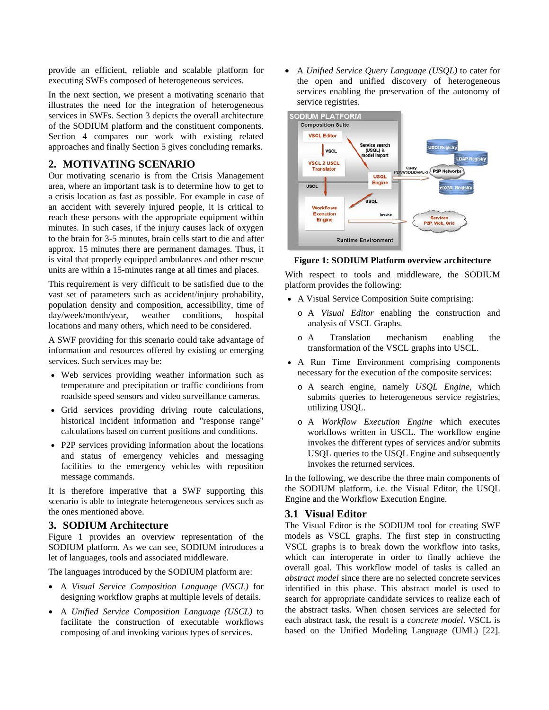provide an efficient, reliable and scalable platform for executing SWFs composed of heterogeneous services.

In the next section, we present a motivating scenario that illustrates the need for the integration of heterogeneous services in SWFs. Section [3](#page-1-0) depicts the overall architecture of the SODIUM platform and the constituent components. Section [4](#page-5-1) compares our work with existing related approaches and finally Section [5](#page-5-2) gives concluding remarks.

### <span id="page-1-2"></span>**2. MOTIVATING SCENARIO**

Our motivating scenario is from the Crisis Management area, where an important task is to determine how to get to a crisis location as fast as possible. For example in case of an accident with severely injured people, it is critical to reach these persons with the appropriate equipment within minutes. In such cases, if the injury causes lack of oxygen to the brain for 3-5 minutes, brain cells start to die and after approx. 15 minutes there are permanent damages. Thus, it is vital that properly equipped ambulances and other rescue units are within a 15-minutes range at all times and places.

<span id="page-1-1"></span>This requirement is very difficult to be satisfied due to the vast set of parameters such as accident/injury probability, population density and composition, accessibility, time of day/week/month/year, weather conditions, hospital locations and many others, which need to be considered.

A SWF providing for this scenario could take advantage of information and resources offered by existing or emerging services. Such services may be:

- Web services providing weather information such as temperature and precipitation or traffic conditions from roadside speed sensors and video surveillance cameras.
- Grid services providing driving route calculations, historical incident information and "response range" calculations based on current positions and conditions.
- P2P services providing information about the locations and status of emergency vehicles and messaging facilities to the emergency vehicles with reposition message commands.

It is therefore imperative that a SWF supporting this scenario is able to integrate heterogeneous services such as the ones mentioned above.

#### <span id="page-1-0"></span>**3. SODIUM Architecture**

[Figure 1](#page-1-1) provides an overview representation of the SODIUM platform. As we can see, SODIUM introduces a let of languages, tools and associated middleware.

The languages introduced by the SODIUM platform are:

- A *Visual Service Composition Language (VSCL)* for designing workflow graphs at multiple levels of details.
- A *Unified Service Composition Language (USCL)* to facilitate the construction of executable workflows composing of and invoking various types of services.

• A *Unified Service Query Language (USQL)* to cater for the open and unified discovery of heterogeneous services enabling the preservation of the autonomy of service registries.



#### **Figure 1: SODIUM Platform overview architecture**

With respect to tools and middleware, the SODIUM platform provides the following:

- A Visual Service Composition Suite comprising:
	- o A *Visual Editor* enabling the construction and analysis of VSCL Graphs.
	- o A Translation mechanism enabling the transformation of the VSCL graphs into USCL.
- A Run Time Environment comprising components necessary for the execution of the composite services:
	- o A search engine, namely *USQL Engine*, which submits queries to heterogeneous service registries, utilizing USQL.
	- o A *Workflow Execution Engine* which executes workflows written in USCL. The workflow engine invokes the different types of services and/or submits USQL queries to the USQL Engine and subsequently invokes the returned services.

In the following, we describe the three main components of the SODIUM platform, i.e. the Visual Editor, the USQL Engine and the Workflow Execution Engine.

#### **3.1 Visual Editor**

The Visual Editor is the SODIUM tool for creating SWF models as VSCL graphs. The first step in constructing VSCL graphs is to break down the workflow into tasks, which can interoperate in order to finally achieve the overall goal. This workflow model of tasks is called an *abstract model* since there are no selected concrete services identified in this phase. This abstract model is used to search for appropriate candidate services to realize each of the abstract tasks. When chosen services are selected for each abstract task, the result is a *concrete model*. VSCL is based on the Unified Modeling Language (UML) [\[22\].](#page-6-0)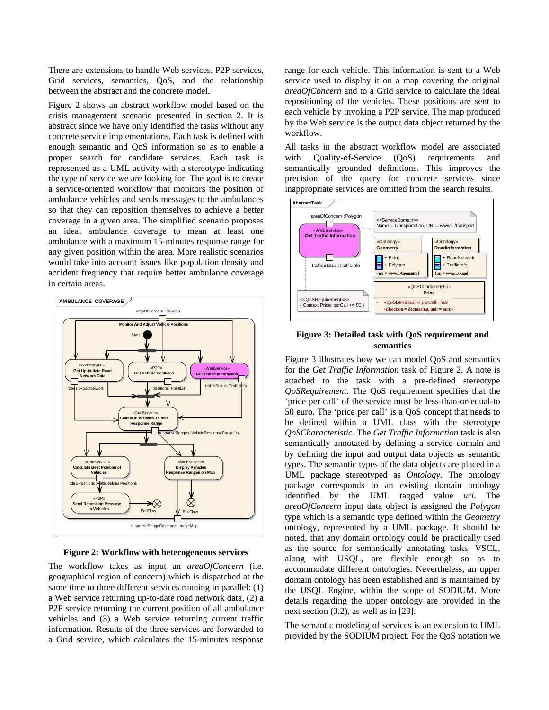There are extensions to handle Web services, P2P services, Grid services, semantics, QoS, and the relationship between the abstract and the concrete model.

[Figure 2](#page-2-0) shows an abstract workflow model based on the crisis management scenario presented in section [2.](#page-1-2) It is abstract since we have only identified the tasks without any concrete service implementations. Each task is defined with enough semantic and QoS information so as to enable a proper search for candidate services. Each task is represented as a UML activity with a stereotype indicating the type of service we are looking for. The goal is to create a service-oriented workflow that monitors the position of ambulance vehicles and sends messages to the ambulances so that they can reposition themselves to achieve a better coverage in a given area. The simplified scenario proposes an ideal ambulance coverage to mean at least one ambulance with a maximum 15-minutes response range for any given position within the area. More realistic scenarios would take into account issues like population density and accident frequency that require better ambulance coverage in certain areas.

<span id="page-2-1"></span>

**Figure 2: Workflow with heterogeneous services** 

<span id="page-2-0"></span>The workflow takes as input an *areaOfConcern* (i.e. geographical region of concern) which is dispatched at the same time to three different services running in parallel: (1) a Web service returning up-to-date road network data, (2) a P2P service returning the current position of all ambulance vehicles and (3) a Web service returning current traffic information. Results of the three services are forwarded to a Grid service, which calculates the 15-minutes response

range for each vehicle. This information is sent to a Web service used to display it on a map covering the original *areaOfConcern* and to a Grid service to calculate the ideal repositioning of the vehicles. These positions are sent to each vehicle by invoking a P2P service. The map produced by the Web service is the output data object returned by the workflow.

All tasks in the abstract workflow model are associated with Quality-of-Service (QoS) requirements and semantically grounded definitions. This improves the precision of the query for concrete services since inappropriate services are omitted from the search results.



**Figure 3: Detailed task with QoS requirement and semantics** 

[Figure 3](#page-2-1) illustrates how we can model QoS and semantics for the *Get Traffic Information* task of [Figure 2](#page-2-0). A note is attached to the task with a pre-defined stereotype *QoSRequirement*. The QoS requirement specifies that the 'price per call' of the service must be less-than-or-equal-to 50 euro. The 'price per call' is a QoS concept that needs to be defined within a UML class with the stereotype *QoSCharacteristic*. The *Get Traffic Information* task is also semantically annotated by defining a service domain and by defining the input and output data objects as semantic types. The semantic types of the data objects are placed in a UML package stereotyped as *Ontology*. The ontology package corresponds to an existing domain ontology identified by the UML tagged value *uri*. The *areaOfConcern* input data object is assigned the *Polygon* type which is a semantic type defined within the *Geometry* ontology, represented by a UML package. It should be noted, that any domain ontology could be practically used as the source for semantically annotating tasks. VSCL, along with USQL, are flexible enough so as to accommodate different ontologies. Nevertheless, an upper domain ontology has been established and is maintained by the USQL Engine, within the scope of SODIUM. More details regarding the upper ontology are provided in the next section (3.2), as well as in [\[23\].](#page-6-1)

The semantic modeling of services is an extension to UML provided by the SODIUM project. For the QoS notation we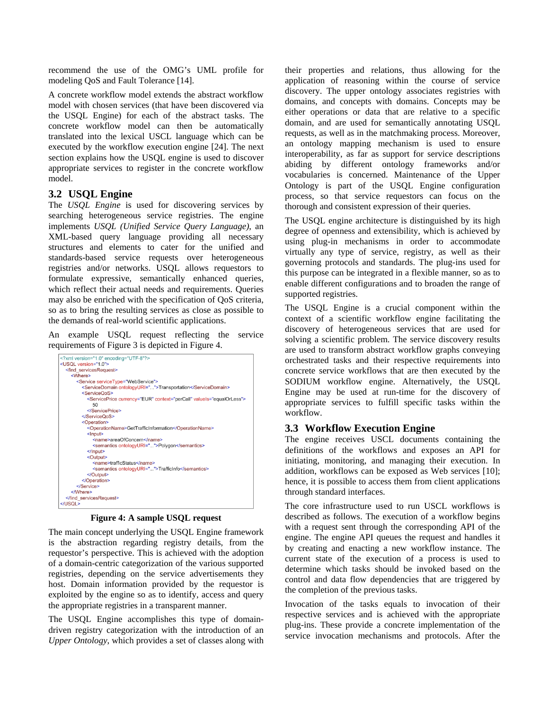recommend the use of the OMG's UML profile for modeling QoS and Fault Tolerance [\[14\]](#page-6-2).

A concrete workflow model extends the abstract workflow model with chosen services (that have been discovered via the USQL Engine) for each of the abstract tasks. The concrete workflow model can then be automatically translated into the lexical USCL language which can be executed by the workflow execution engine [\[24\].](#page-6-3) The next section explains how the USQL engine is used to discover appropriate services to register in the concrete workflow model.

#### **3.2 USQL Engine**

The *USQL Engine* is used for discovering services by searching heterogeneous service registries. The engine implements *USQL (Unified Service Query Language)*, an XML-based query language providing all necessary structures and elements to cater for the unified and standards-based service requests over heterogeneous registries and/or networks. USQL allows requestors to formulate expressive, semantically enhanced queries, which reflect their actual needs and requirements. Queries may also be enriched with the specification of QoS criteria, so as to bring the resulting services as close as possible to the demands of real-world scientific applications.

An example USQL request reflecting the service requirements of Figure 3 is depicted in Figure 4.



**Figure 4: A sample USQL request** 

The main concept underlying the USQL Engine framework is the abstraction regarding registry details, from the requestor's perspective. This is achieved with the adoption of a domain-centric categorization of the various supported registries, depending on the service advertisements they host. Domain information provided by the requestor is exploited by the engine so as to identify, access and query the appropriate registries in a transparent manner.

The USQL Engine accomplishes this type of domaindriven registry categorization with the introduction of an *Upper Ontology*, which provides a set of classes along with their properties and relations, thus allowing for the application of reasoning within the course of service discovery. The upper ontology associates registries with domains, and concepts with domains. Concepts may be either operations or data that are relative to a specific domain, and are used for semantically annotating USQL requests, as well as in the matchmaking process. Moreover, an ontology mapping mechanism is used to ensure interoperability, as far as support for service descriptions abiding by different ontology frameworks and/or vocabularies is concerned. Maintenance of the Upper Ontology is part of the USQL Engine configuration process, so that service requestors can focus on the thorough and consistent expression of their queries.

The USQL engine architecture is distinguished by its high degree of openness and extensibility, which is achieved by using plug-in mechanisms in order to accommodate virtually any type of service, registry, as well as their governing protocols and standards. The plug-ins used for this purpose can be integrated in a flexible manner, so as to enable different configurations and to broaden the range of supported registries.

The USQL Engine is a crucial component within the context of a scientific workflow engine facilitating the discovery of heterogeneous services that are used for solving a scientific problem. The service discovery results are used to transform abstract workflow graphs conveying orchestrated tasks and their respective requirements into concrete service workflows that are then executed by the SODIUM workflow engine. Alternatively, the USQL Engine may be used at run-time for the discovery of appropriate services to fulfill specific tasks within the workflow.

#### **3.3 Workflow Execution Engine**

The engine receives USCL documents containing the definitions of the workflows and exposes an API for initiating, monitoring, and managing their execution. In addition, workflows can be exposed as Web services [\[10\]](#page-6-4); hence, it is possible to access them from client applications through standard interfaces.

The core infrastructure used to run USCL workflows is described as follows. The execution of a workflow begins with a request sent through the corresponding API of the engine. The engine API queues the request and handles it by creating and enacting a new workflow instance. The current state of the execution of a process is used to determine which tasks should be invoked based on the control and data flow dependencies that are triggered by the completion of the previous tasks.

Invocation of the tasks equals to invocation of their respective services and is achieved with the appropriate plug-ins. These provide a concrete implementation of the service invocation mechanisms and protocols. After the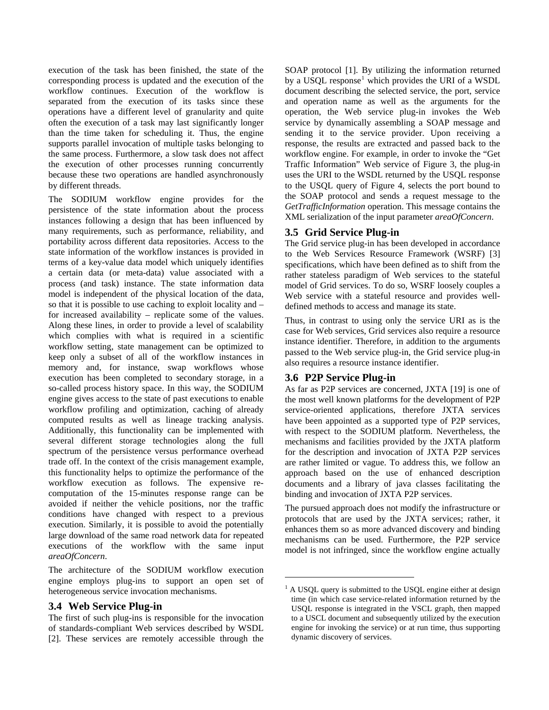execution of the task has been finished, the state of the corresponding process is updated and the execution of the workflow continues. Execution of the workflow is separated from the execution of its tasks since these operations have a different level of granularity and quite often the execution of a task may last significantly longer than the time taken for scheduling it. Thus, the engine supports parallel invocation of multiple tasks belonging to the same process. Furthermore, a slow task does not affect the execution of other processes running concurrently because these two operations are handled asynchronously by different threads.

The SODIUM workflow engine provides for the persistence of the state information about the process instances following a design that has been influenced by many requirements, such as performance, reliability, and portability across different data repositories. Access to the state information of the workflow instances is provided in terms of a key-value data model which uniquely identifies a certain data (or meta-data) value associated with a process (and task) instance. The state information data model is independent of the physical location of the data, so that it is possible to use caching to exploit locality and – for increased availability – replicate some of the values. Along these lines, in order to provide a level of scalability which complies with what is required in a scientific workflow setting, state management can be optimized to keep only a subset of all of the workflow instances in memory and, for instance, swap workflows whose execution has been completed to secondary storage, in a so-called process history space. In this way, the SODIUM engine gives access to the state of past executions to enable workflow profiling and optimization, caching of already computed results as well as lineage tracking analysis. Additionally, this functionality can be implemented with several different storage technologies along the full spectrum of the persistence versus performance overhead trade off. In the context of the crisis management example, this functionality helps to optimize the performance of the workflow execution as follows. The expensive recomputation of the 15-minutes response range can be avoided if neither the vehicle positions, nor the traffic conditions have changed with respect to a previous execution. Similarly, it is possible to avoid the potentially large download of the same road network data for repeated executions of the workflow with the same input *areaOfConcern*.

The architecture of the SODIUM workflow execution engine employs plug-ins to support an open set of heterogeneous service invocation mechanisms.

#### <span id="page-4-0"></span>**3.4 Web Service Plug-in**

The first of such plug-ins is responsible for the invocation of standards-compliant Web services described by WSDL [\[2\].](#page-5-3) These services are remotely accessible through the

SOAP protocol [\[1\]](#page-6-5). By utilizing the information returned by a USQL response<sup>[1](#page-4-0)</sup> which provides the URI of a WSDL document describing the selected service, the port, service and operation name as well as the arguments for the operation, the Web service plug-in invokes the Web service by dynamically assembling a SOAP message and sending it to the service provider. Upon receiving a response, the results are extracted and passed back to the workflow engine. For example, in order to invoke the "Get Traffic Information" Web service of Figure 3, the plug-in uses the URI to the WSDL returned by the USQL response to the USQL query of Figure 4, selects the port bound to the SOAP protocol and sends a request message to the *GetTrafficInformation* operation. This message contains the XML serialization of the input parameter *areaOfConcern*.

## **3.5 Grid Service Plug-in**

The Grid service plug-in has been developed in accordance to the Web Services Resource Framework (WSRF) [\[3\]](#page-5-4) specifications, which have been defined as to shift from the rather stateless paradigm of Web services to the stateful model of Grid services. To do so, WSRF loosely couples a Web service with a stateful resource and provides welldefined methods to access and manage its state.

Thus, in contrast to using only the service URI as is the case for Web services, Grid services also require a resource instance identifier. Therefore, in addition to the arguments passed to the Web service plug-in, the Grid service plug-in also requires a resource instance identifier.

## **3.6 P2P Service Plug-in**

1

As far as P2P services are concerned, JXTA [\[19\]](#page-6-6) is one of the most well known platforms for the development of P2P service-oriented applications, therefore JXTA services have been appointed as a supported type of P2P services, with respect to the SODIUM platform. Nevertheless, the mechanisms and facilities provided by the JXTA platform for the description and invocation of JXTA P2P services are rather limited or vague. To address this, we follow an approach based on the use of enhanced description documents and a library of java classes facilitating the binding and invocation of JXTA P2P services.

The pursued approach does not modify the infrastructure or protocols that are used by the JXTA services; rather, it enhances them so as more advanced discovery and binding mechanisms can be used. Furthermore, the P2P service model is not infringed, since the workflow engine actually

 $<sup>1</sup>$  A USQL query is submitted to the USQL engine either at design</sup> time (in which case service-related information returned by the USQL response is integrated in the VSCL graph, then mapped to a USCL document and subsequently utilized by the execution engine for invoking the service) or at run time, thus supporting dynamic discovery of services.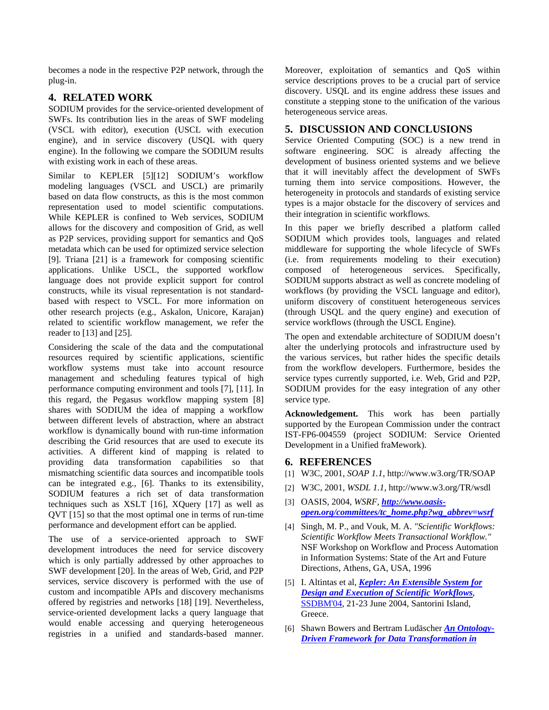becomes a node in the respective P2P network, through the plug-in.

### <span id="page-5-1"></span>**4. RELATED WORK**

<span id="page-5-2"></span>SODIUM provides for the service-oriented development of SWFs. Its contribution lies in the areas of SWF modeling (VSCL with editor), execution (USCL with execution engine), and in service discovery (USQL with query engine). In the following we compare the SODIUM results with existing work in each of these areas.

Similar to KEPLER [\[5\]](#page-5-5)[\[12\]](#page-6-7) SODIUM's workflow modeling languages (VSCL and USCL) are primarily based on data flow constructs, as this is the most common representation used to model scientific computations. While KEPLER is confined to Web services, SODIUM allows for the discovery and composition of Grid, as well as P2P services, providing support for semantics and QoS metadata which can be used for optimized service selection [\[9\].](#page-6-8) Triana [\[21\]](#page-6-9) is a framework for composing scientific applications. Unlike USCL, the supported workflow language does not provide explicit support for control constructs, while its visual representation is not standardbased with respect to VSCL. For more information on other research projects (e.g., Askalon, Unicore, Karajan) related to scientific workflow management, we refer the reader to [\[13\]](#page-6-10) and [\[25\].](#page-6-11)

Considering the scale of the data and the computational resources required by scientific applications, scientific workflow systems must take into account resource management and scheduling features typical of high performance computing environment and tools [\[7\]](#page-6-12), [\[11\]](#page-6-13). In this regard, the Pegasus workflow mapping system [\[8\]](#page-6-14) shares with SODIUM the idea of mapping a workflow between different levels of abstraction, where an abstract workflow is dynamically bound with run-time information describing the Grid resources that are used to execute its activities. A different kind of mapping is related to providing data transformation capabilities so that mismatching scientific data sources and incompatible tools can be integrated e.g., [\[6\].](#page-6-15) Thanks to its extensibility, SODIUM features a rich set of data transformation techniques such as XSLT [\[16\],](#page-6-16) XQuery [\[17\]](#page-6-17) as well as QVT [\[15\]](#page-6-18) so that the most optimal one in terms of run-time performance and development effort can be applied.

<span id="page-5-5"></span><span id="page-5-4"></span><span id="page-5-3"></span><span id="page-5-0"></span>The use of a service-oriented approach to SWF development introduces the need for service discovery which is only partially addressed by other approaches to SWF development [\[20\]](#page-6-19). In the areas of Web, Grid, and P2P services, service discovery is performed with the use of custom and incompatible APIs and discovery mechanisms offered by registries and networks [\[18\]](#page-6-20) [\[19\]](#page-6-6). Nevertheless, service-oriented development lacks a query language that would enable accessing and querying heterogeneous registries in a unified and standards-based manner. Moreover, exploitation of semantics and QoS within service descriptions proves to be a crucial part of service discovery. USQL and its engine address these issues and constitute a stepping stone to the unification of the various heterogeneous service areas.

## **5. DISCUSSION AND CONCLUSIONS**

Service Oriented Computing (SOC) is a new trend in software engineering. SOC is already affecting the development of business oriented systems and we believe that it will inevitably affect the development of SWFs turning them into service compositions. However, the heterogeneity in protocols and standards of existing service types is a major obstacle for the discovery of services and their integration in scientific workflows.

In this paper we briefly described a platform called SODIUM which provides tools, languages and related middleware for supporting the whole lifecycle of SWFs (i.e. from requirements modeling to their execution) composed of heterogeneous services. Specifically, SODIUM supports abstract as well as concrete modeling of workflows (by providing the VSCL language and editor), uniform discovery of constituent heterogeneous services (through USQL and the query engine) and execution of service workflows (through the USCL Engine).

The open and extendable architecture of SODIUM doesn't alter the underlying protocols and infrastructure used by the various services, but rather hides the specific details from the workflow developers. Furthermore, besides the service types currently supported, i.e. Web, Grid and P2P, SODIUM provides for the easy integration of any other service type.

**Acknowledgement.** This work has been partially supported by the European Commission under the contract IST-FP6-004559 (project SODIUM: Service Oriented Development in a Unified fraMework).

#### **6. REFERENCES**

- [1] W3C, 2001, *SOAP 1.1*, http://www.w3.org/TR/SOAP
- [2] W3C, 2001, *WSDL 1.1*, http://www.w3.org/TR/wsdl
- [3] OASIS, 2004, *WSRF*, *[http://www.oasis](http://www.oasis-open.org/committees/tc_home.php?wg_abbrev=wsrf)[open.org/committees/tc\\_home.php?wg\\_abbrev=wsrf](http://www.oasis-open.org/committees/tc_home.php?wg_abbrev=wsrf)*
- [4] Singh, M. P., and Vouk, M. A. *"Scientific Workflows: Scientific Workflow Meets Transactional Workflow."* NSF Workshop on Workflow and Process Automation in Information Systems: State of the Art and Future Directions, Athens, GA, USA, 1996
- [5] I. Altintas et al, *[Kepler: An Extensible System for](http://www.sdsc.edu/%7Eludaesch/Paper/ssdbm04-kepler.pdf)  [Design and Execution of Scientific Workflows](http://www.sdsc.edu/%7Eludaesch/Paper/ssdbm04-kepler.pdf)*, [SSDBM'04,](http://cgi.di.uoa.gr/%7Essdbm04/) 21-23 June 2004, Santorini Island, Greece.
- [6] Shawn Bowers and Bertram Ludäscher *[An Ontology-](http://users.sdsc.edu/%7Ebowers/cv_html/bowers_ONTOTRANS_dils04.pdf)[Driven Framework for Data Transformation in](http://users.sdsc.edu/%7Ebowers/cv_html/bowers_ONTOTRANS_dils04.pdf)*